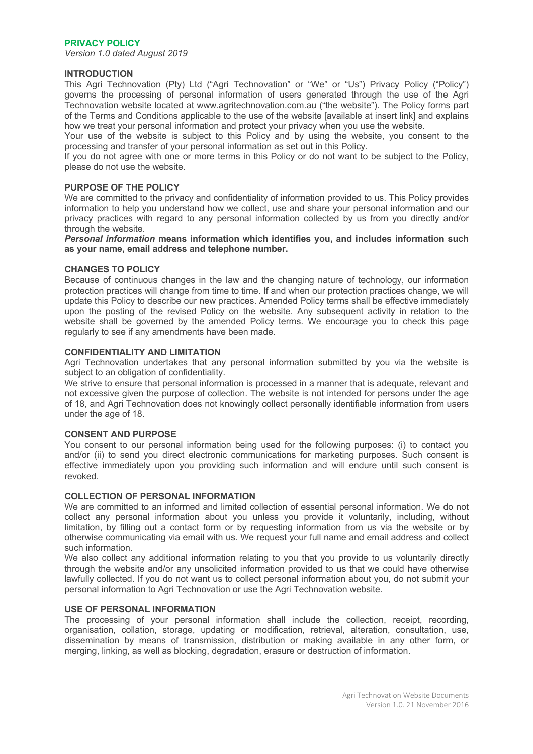# **PRIVACY POLICY**

*Version 1.0 dated August 2019*

# **INTRODUCTION**

This Agri Technovation (Pty) Ltd ("Agri Technovation" or "We" or "Us") Privacy Policy ("Policy") governs the processing of personal information of users generated through the use of the Agri Technovation website located at www.agritechnovation.com.au ("the website"). The Policy forms part of the Terms and Conditions applicable to the use of the website [available at insert link] and explains how we treat your personal information and protect your privacy when you use the website.

Your use of the website is subject to this Policy and by using the website, you consent to the processing and transfer of your personal information as set out in this Policy.

If you do not agree with one or more terms in this Policy or do not want to be subject to the Policy, please do not use the website.

#### **PURPOSE OF THE POLICY**

We are committed to the privacy and confidentiality of information provided to us. This Policy provides information to help you understand how we collect, use and share your personal information and our privacy practices with regard to any personal information collected by us from you directly and/or through the website.

*Personal information* **means information which identifies you, and includes information such as your name, email address and telephone number.**

#### **CHANGES TO POLICY**

Because of continuous changes in the law and the changing nature of technology, our information protection practices will change from time to time. If and when our protection practices change, we will update this Policy to describe our new practices. Amended Policy terms shall be effective immediately upon the posting of the revised Policy on the website. Any subsequent activity in relation to the website shall be governed by the amended Policy terms. We encourage you to check this page regularly to see if any amendments have been made.

#### **CONFIDENTIALITY AND LIMITATION**

Agri Technovation undertakes that any personal information submitted by you via the website is subject to an obligation of confidentiality.

We strive to ensure that personal information is processed in a manner that is adequate, relevant and not excessive given the purpose of collection. The website is not intended for persons under the age of 18, and Agri Technovation does not knowingly collect personally identifiable information from users under the age of 18.

#### **CONSENT AND PURPOSE**

You consent to our personal information being used for the following purposes: (i) to contact you and/or (ii) to send you direct electronic communications for marketing purposes. Such consent is effective immediately upon you providing such information and will endure until such consent is revoked.

# **COLLECTION OF PERSONAL INFORMATION**

We are committed to an informed and limited collection of essential personal information. We do not collect any personal information about you unless you provide it voluntarily, including, without limitation, by filling out a contact form or by requesting information from us via the website or by otherwise communicating via email with us. We request your full name and email address and collect such information.

We also collect any additional information relating to you that you provide to us voluntarily directly through the website and/or any unsolicited information provided to us that we could have otherwise lawfully collected. If you do not want us to collect personal information about you, do not submit your personal information to Agri Technovation or use the Agri Technovation website.

#### **USE OF PERSONAL INFORMATION**

The processing of your personal information shall include the collection, receipt, recording, organisation, collation, storage, updating or modification, retrieval, alteration, consultation, use, dissemination by means of transmission, distribution or making available in any other form, or merging, linking, as well as blocking, degradation, erasure or destruction of information.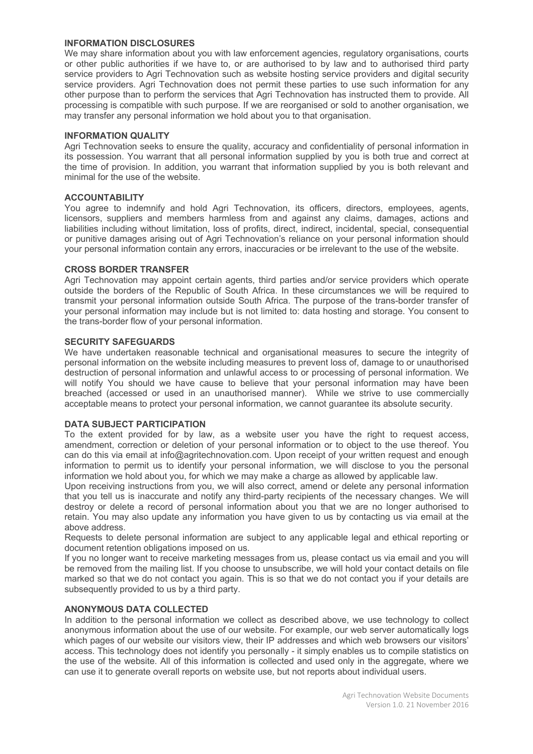# **INFORMATION DISCLOSURES**

We may share information about you with law enforcement agencies, regulatory organisations, courts or other public authorities if we have to, or are authorised to by law and to authorised third party service providers to Agri Technovation such as website hosting service providers and digital security service providers. Agri Technovation does not permit these parties to use such information for any other purpose than to perform the services that Agri Technovation has instructed them to provide. All processing is compatible with such purpose. If we are reorganised or sold to another organisation, we may transfer any personal information we hold about you to that organisation.

#### **INFORMATION QUALITY**

Agri Technovation seeks to ensure the quality, accuracy and confidentiality of personal information in its possession. You warrant that all personal information supplied by you is both true and correct at the time of provision. In addition, you warrant that information supplied by you is both relevant and minimal for the use of the website.

# **ACCOUNTABILITY**

You agree to indemnify and hold Agri Technovation, its officers, directors, employees, agents, licensors, suppliers and members harmless from and against any claims, damages, actions and liabilities including without limitation, loss of profits, direct, indirect, incidental, special, consequential or punitive damages arising out of Agri Technovation's reliance on your personal information should your personal information contain any errors, inaccuracies or be irrelevant to the use of the website.

# **CROSS BORDER TRANSFER**

Agri Technovation may appoint certain agents, third parties and/or service providers which operate outside the borders of the Republic of South Africa. In these circumstances we will be required to transmit your personal information outside South Africa. The purpose of the trans-border transfer of your personal information may include but is not limited to: data hosting and storage. You consent to the trans-border flow of your personal information.

#### **SECURITY SAFEGUARDS**

We have undertaken reasonable technical and organisational measures to secure the integrity of personal information on the website including measures to prevent loss of, damage to or unauthorised destruction of personal information and unlawful access to or processing of personal information. We will notify You should we have cause to believe that your personal information may have been breached (accessed or used in an unauthorised manner). While we strive to use commercially acceptable means to protect your personal information, we cannot guarantee its absolute security.

#### **DATA SUBJECT PARTICIPATION**

To the extent provided for by law, as a website user you have the right to request access, amendment, correction or deletion of your personal information or to object to the use thereof. You can do this via email at info@agritechnovation.com. Upon receipt of your written request and enough information to permit us to identify your personal information, we will disclose to you the personal information we hold about you, for which we may make a charge as allowed by applicable law.

Upon receiving instructions from you, we will also correct, amend or delete any personal information that you tell us is inaccurate and notify any third-party recipients of the necessary changes. We will destroy or delete a record of personal information about you that we are no longer authorised to retain. You may also update any information you have given to us by contacting us via email at the above address.

Requests to delete personal information are subject to any applicable legal and ethical reporting or document retention obligations imposed on us.

If you no longer want to receive marketing messages from us, please contact us via email and you will be removed from the mailing list. If you choose to unsubscribe, we will hold your contact details on file marked so that we do not contact you again. This is so that we do not contact you if your details are subsequently provided to us by a third party.

# **ANONYMOUS DATA COLLECTED**

In addition to the personal information we collect as described above, we use technology to collect anonymous information about the use of our website. For example, our web server automatically logs which pages of our website our visitors view, their IP addresses and which web browsers our visitors' access. This technology does not identify you personally - it simply enables us to compile statistics on the use of the website. All of this information is collected and used only in the aggregate, where we can use it to generate overall reports on website use, but not reports about individual users.